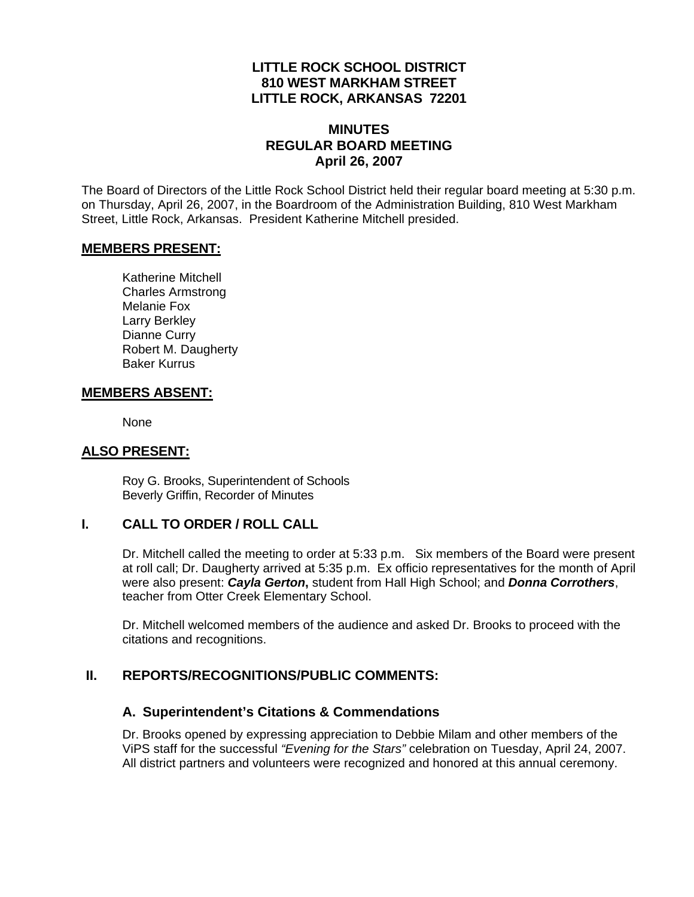### **LITTLE ROCK SCHOOL DISTRICT 810 WEST MARKHAM STREET LITTLE ROCK, ARKANSAS 72201**

### **MINUTES REGULAR BOARD MEETING April 26, 2007**

The Board of Directors of the Little Rock School District held their regular board meeting at 5:30 p.m. on Thursday, April 26, 2007, in the Boardroom of the Administration Building, 810 West Markham Street, Little Rock, Arkansas. President Katherine Mitchell presided.

#### **MEMBERS PRESENT:**

Katherine Mitchell Charles Armstrong Melanie Fox Larry Berkley Dianne Curry Robert M. Daugherty Baker Kurrus

#### **MEMBERS ABSENT:**

None

#### **ALSO PRESENT:**

 Roy G. Brooks, Superintendent of Schools Beverly Griffin, Recorder of Minutes

### **I. CALL TO ORDER / ROLL CALL**

Dr. Mitchell called the meeting to order at 5:33 p.m. Six members of the Board were present at roll call; Dr. Daugherty arrived at 5:35 p.m. Ex officio representatives for the month of April were also present: *Cayla Gerton***,** student from Hall High School; and *Donna Corrothers*, teacher from Otter Creek Elementary School.

Dr. Mitchell welcomed members of the audience and asked Dr. Brooks to proceed with the citations and recognitions.

### **II. REPORTS/RECOGNITIONS/PUBLIC COMMENTS:**

#### **A. Superintendent's Citations & Commendations**

Dr. Brooks opened by expressing appreciation to Debbie Milam and other members of the ViPS staff for the successful *"Evening for the Stars"* celebration on Tuesday, April 24, 2007. All district partners and volunteers were recognized and honored at this annual ceremony.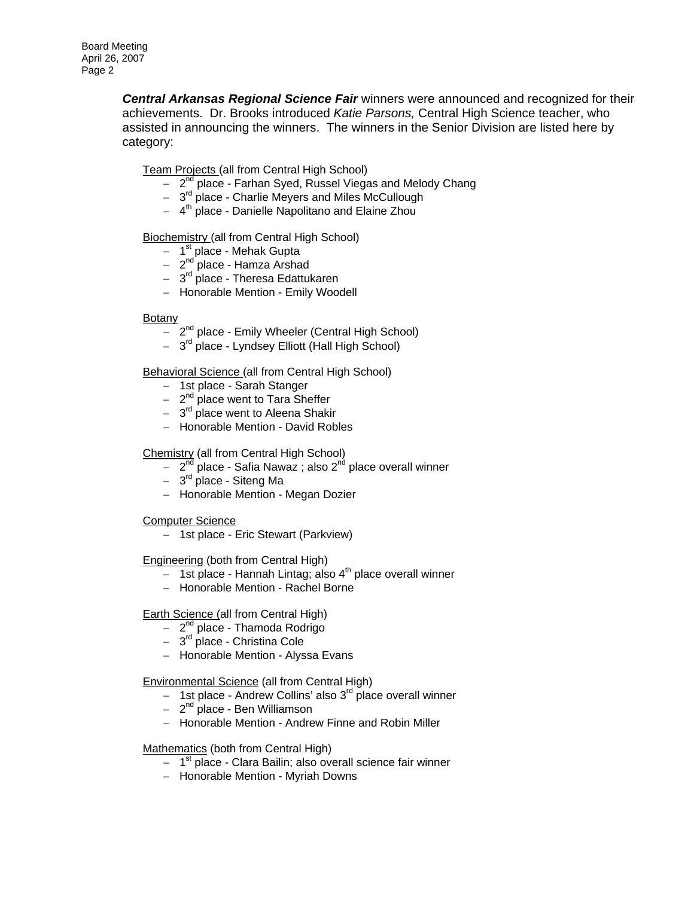*Central Arkansas Regional Science Fair* winners were announced and recognized for their achievements. Dr. Brooks introduced *Katie Parsons,* Central High Science teacher, who assisted in announcing the winners. The winners in the Senior Division are listed here by category:

Team Projects (all from Central High School)

- − 2<sup>nd</sup> place Farhan Syed, Russel Viegas and Melody Chang
- − 3<sup>rd</sup> place Charlie Meyers and Miles McCullough
- − 4th place Danielle Napolitano and Elaine Zhou

**Biochemistry (all from Central High School)** 

- − 1st place Mehak Gupta
- − 2nd place Hamza Arshad
- − 3rd place Theresa Edattukaren
- − Honorable Mention Emily Woodell

#### Botany

- − 2nd place Emily Wheeler (Central High School)
- − 3rd place Lyndsey Elliott (Hall High School)

Behavioral Science (all from Central High School)

- − 1st place Sarah Stanger
- − 2<sup>nd</sup> place went to Tara Sheffer
- − 3<sup>rd</sup> place went to Aleena Shakir
- − Honorable Mention David Robles

Chemistry (all from Central High School)

- − 2<sup>nd</sup> place Safia Nawaz ; also 2<sup>nd</sup> place overall winner
- − 3rd place Siteng Ma
- − Honorable Mention Megan Dozier

Computer Science

− 1st place - Eric Stewart (Parkview)

Engineering (both from Central High)

- − 1st place Hannah Lintag; also 4<sup>th</sup> place overall winner
- − Honorable Mention Rachel Borne

Earth Science (all from Central High)

- − 2<sup>nd</sup> place Thamoda Rodrigo
- − 3rd place Christina Cole
- − Honorable Mention Alyssa Evans

Environmental Science (all from Central High)

- − 1st place Andrew Collins' also 3rd place overall winner
- − 2nd place Ben Williamson
- − Honorable Mention Andrew Finne and Robin Miller

Mathematics (both from Central High)

- − 1st place Clara Bailin; also overall science fair winner
- − Honorable Mention Myriah Downs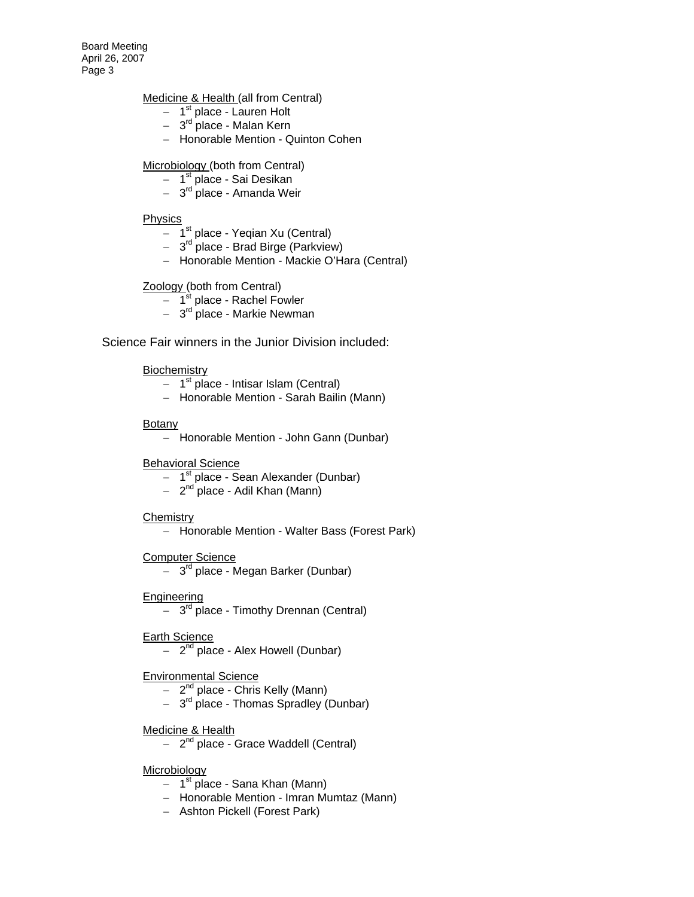Board Meeting April 26, 2007 Page 3

#### Medicine & Health (all from Central)

- − 1st place Lauren Holt
- − 3rd place Malan Kern
- − Honorable Mention Quinton Cohen

#### Microbiology (both from Central)

- − 1<sup>st</sup> place Sai Desikan
- − 3rd place Amanda Weir

#### **Physics**

- − 1<sup>st</sup> place Yeqian Xu (Central)
- − 3rd place Brad Birge (Parkview)
- − Honorable Mention Mackie O'Hara (Central)

#### Zoology (both from Central)

- − 1st place Rachel Fowler
- − 3<sup>rd</sup> place Markie Newman

Science Fair winners in the Junior Division included:

#### **Biochemistry**

- $-1$ <sup>st</sup> place Intisar Islam (Central)
- − Honorable Mention Sarah Bailin (Mann)

#### **Botany**

− Honorable Mention - John Gann (Dunbar)

Behavioral Science

- − 1<sup>st</sup> place Sean Alexander (Dunbar)
- − 2<sup>nd</sup> place Adil Khan (Mann)

#### **Chemistry**

− Honorable Mention - Walter Bass (Forest Park)

#### Computer Science

− 3rd place - Megan Barker (Dunbar)

**Engineering** 

− 3rd place - Timothy Drennan (Central)

Earth Science

− 2<sup>nd</sup> place - Alex Howell (Dunbar)

#### Environmental Science

- − 2<sup>nd</sup> place Chris Kelly (Mann)
- − 3rd place Thomas Spradley (Dunbar)

#### Medicine & Health

− 2nd place - Grace Waddell (Central)

#### Microbiology

- $-1$ <sup>st</sup> place Sana Khan (Mann)
- − Honorable Mention Imran Mumtaz (Mann)
- − Ashton Pickell (Forest Park)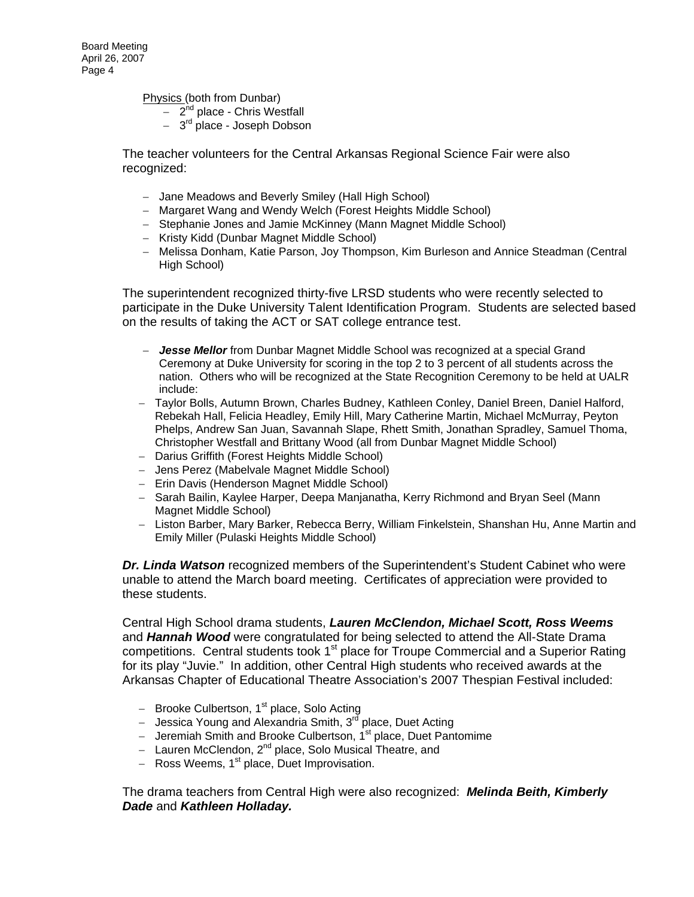Physics (both from Dunbar)

- − 2nd place Chris Westfall
- − 3rd place Joseph Dobson

The teacher volunteers for the Central Arkansas Regional Science Fair were also recognized:

- − Jane Meadows and Beverly Smiley (Hall High School)
- − Margaret Wang and Wendy Welch (Forest Heights Middle School)
- − Stephanie Jones and Jamie McKinney (Mann Magnet Middle School)
- − Kristy Kidd (Dunbar Magnet Middle School)
- − Melissa Donham, Katie Parson, Joy Thompson, Kim Burleson and Annice Steadman (Central High School)

The superintendent recognized thirty-five LRSD students who were recently selected to participate in the Duke University Talent Identification Program. Students are selected based on the results of taking the ACT or SAT college entrance test.

- − *Jesse Mellor* from Dunbar Magnet Middle School was recognized at a special Grand Ceremony at Duke University for scoring in the top 2 to 3 percent of all students across the nation. Others who will be recognized at the State Recognition Ceremony to be held at UALR include:
- − Taylor Bolls, Autumn Brown, Charles Budney, Kathleen Conley, Daniel Breen, Daniel Halford, Rebekah Hall, Felicia Headley, Emily Hill, Mary Catherine Martin, Michael McMurray, Peyton Phelps, Andrew San Juan, Savannah Slape, Rhett Smith, Jonathan Spradley, Samuel Thoma, Christopher Westfall and Brittany Wood (all from Dunbar Magnet Middle School)
- − Darius Griffith (Forest Heights Middle School)
- − Jens Perez (Mabelvale Magnet Middle School)
- − Erin Davis (Henderson Magnet Middle School)
- − Sarah Bailin, Kaylee Harper, Deepa Manjanatha, Kerry Richmond and Bryan Seel (Mann Magnet Middle School)
- − Liston Barber, Mary Barker, Rebecca Berry, William Finkelstein, Shanshan Hu, Anne Martin and Emily Miller (Pulaski Heights Middle School)

*Dr. Linda Watson* recognized members of the Superintendent's Student Cabinet who were unable to attend the March board meeting. Certificates of appreciation were provided to these students.

Central High School drama students, *Lauren McClendon, Michael Scott, Ross Weems*  and *Hannah Wood* were congratulated for being selected to attend the All-State Drama competitions. Central students took  $1<sup>st</sup>$  place for Troupe Commercial and a Superior Rating for its play "Juvie." In addition, other Central High students who received awards at the Arkansas Chapter of Educational Theatre Association's 2007 Thespian Festival included:

- − Brooke Culbertson, 1<sup>st</sup> place, Solo Acting
- − Jessica Young and Alexandria Smith, 3rd place, Duet Acting
- − Jeremiah Smith and Brooke Culbertson, 1st place, Duet Pantomime
- − Lauren McClendon, 2nd place, Solo Musical Theatre, and
- − Ross Weems, 1<sup>st</sup> place, Duet Improvisation.

The drama teachers from Central High were also recognized: *Melinda Beith, Kimberly Dade* and *Kathleen Holladay.*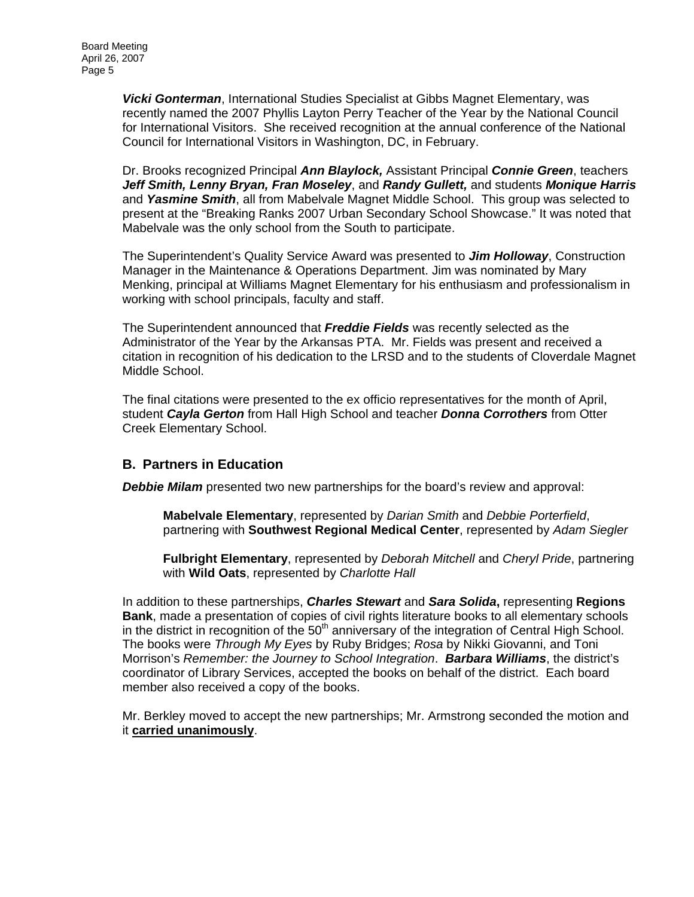*Vicki Gonterman*, International Studies Specialist at Gibbs Magnet Elementary, was recently named the 2007 Phyllis Layton Perry Teacher of the Year by the National Council for International Visitors. She received recognition at the annual conference of the National Council for International Visitors in Washington, DC, in February.

Dr. Brooks recognized Principal *Ann Blaylock,* Assistant Principal *Connie Green*, teachers *Jeff Smith, Lenny Bryan, Fran Moseley*, and *Randy Gullett,* and students *Monique Harris*  and *Yasmine Smith*, all from Mabelvale Magnet Middle School. This group was selected to present at the "Breaking Ranks 2007 Urban Secondary School Showcase." It was noted that Mabelvale was the only school from the South to participate.

The Superintendent's Quality Service Award was presented to *Jim Holloway*, Construction Manager in the Maintenance & Operations Department. Jim was nominated by Mary Menking, principal at Williams Magnet Elementary for his enthusiasm and professionalism in working with school principals, faculty and staff.

The Superintendent announced that *Freddie Fields* was recently selected as the Administrator of the Year by the Arkansas PTA. Mr. Fields was present and received a citation in recognition of his dedication to the LRSD and to the students of Cloverdale Magnet Middle School.

The final citations were presented to the ex officio representatives for the month of April, student *Cayla Gerton* from Hall High School and teacher *Donna Corrothers* from Otter Creek Elementary School.

### **B. Partners in Education**

*Debbie Milam* presented two new partnerships for the board's review and approval:

**Mabelvale Elementary**, represented by *Darian Smith* and *Debbie Porterfield*, partnering with **Southwest Regional Medical Center**, represented by *Adam Siegler*

**Fulbright Elementary**, represented by *Deborah Mitchell* and *Cheryl Pride*, partnering with **Wild Oats**, represented by *Charlotte Hall* 

In addition to these partnerships, *Charles Stewart* and *Sara Solida***,** representing **Regions Bank**, made a presentation of copies of civil rights literature books to all elementary schools in the district in recognition of the  $50<sup>th</sup>$  anniversary of the integration of Central High School. The books were *Through My Eyes* by Ruby Bridges; *Rosa* by Nikki Giovanni, and Toni Morrison's *Remember: the Journey to School Integration*. *Barbara Williams*, the district's coordinator of Library Services, accepted the books on behalf of the district. Each board member also received a copy of the books.

Mr. Berkley moved to accept the new partnerships; Mr. Armstrong seconded the motion and it **carried unanimously**.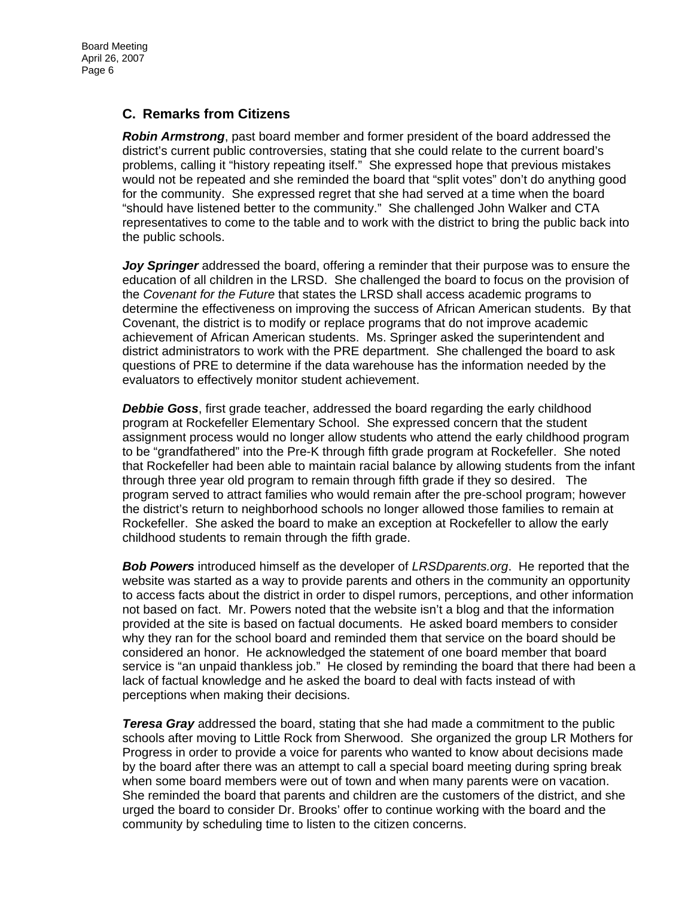### **C. Remarks from Citizens**

*Robin Armstrong*, past board member and former president of the board addressed the district's current public controversies, stating that she could relate to the current board's problems, calling it "history repeating itself." She expressed hope that previous mistakes would not be repeated and she reminded the board that "split votes" don't do anything good for the community. She expressed regret that she had served at a time when the board "should have listened better to the community." She challenged John Walker and CTA representatives to come to the table and to work with the district to bring the public back into the public schools.

*Joy Springer* addressed the board, offering a reminder that their purpose was to ensure the education of all children in the LRSD. She challenged the board to focus on the provision of the *Covenant for the Future* that states the LRSD shall access academic programs to determine the effectiveness on improving the success of African American students. By that Covenant, the district is to modify or replace programs that do not improve academic achievement of African American students. Ms. Springer asked the superintendent and district administrators to work with the PRE department. She challenged the board to ask questions of PRE to determine if the data warehouse has the information needed by the evaluators to effectively monitor student achievement.

*Debbie Goss*, first grade teacher, addressed the board regarding the early childhood program at Rockefeller Elementary School. She expressed concern that the student assignment process would no longer allow students who attend the early childhood program to be "grandfathered" into the Pre-K through fifth grade program at Rockefeller. She noted that Rockefeller had been able to maintain racial balance by allowing students from the infant through three year old program to remain through fifth grade if they so desired. The program served to attract families who would remain after the pre-school program; however the district's return to neighborhood schools no longer allowed those families to remain at Rockefeller. She asked the board to make an exception at Rockefeller to allow the early childhood students to remain through the fifth grade.

*Bob Powers* introduced himself as the developer of *LRSDparents.org*. He reported that the website was started as a way to provide parents and others in the community an opportunity to access facts about the district in order to dispel rumors, perceptions, and other information not based on fact. Mr. Powers noted that the website isn't a blog and that the information provided at the site is based on factual documents. He asked board members to consider why they ran for the school board and reminded them that service on the board should be considered an honor. He acknowledged the statement of one board member that board service is "an unpaid thankless job." He closed by reminding the board that there had been a lack of factual knowledge and he asked the board to deal with facts instead of with perceptions when making their decisions.

*Teresa Gray* addressed the board, stating that she had made a commitment to the public schools after moving to Little Rock from Sherwood. She organized the group LR Mothers for Progress in order to provide a voice for parents who wanted to know about decisions made by the board after there was an attempt to call a special board meeting during spring break when some board members were out of town and when many parents were on vacation. She reminded the board that parents and children are the customers of the district, and she urged the board to consider Dr. Brooks' offer to continue working with the board and the community by scheduling time to listen to the citizen concerns.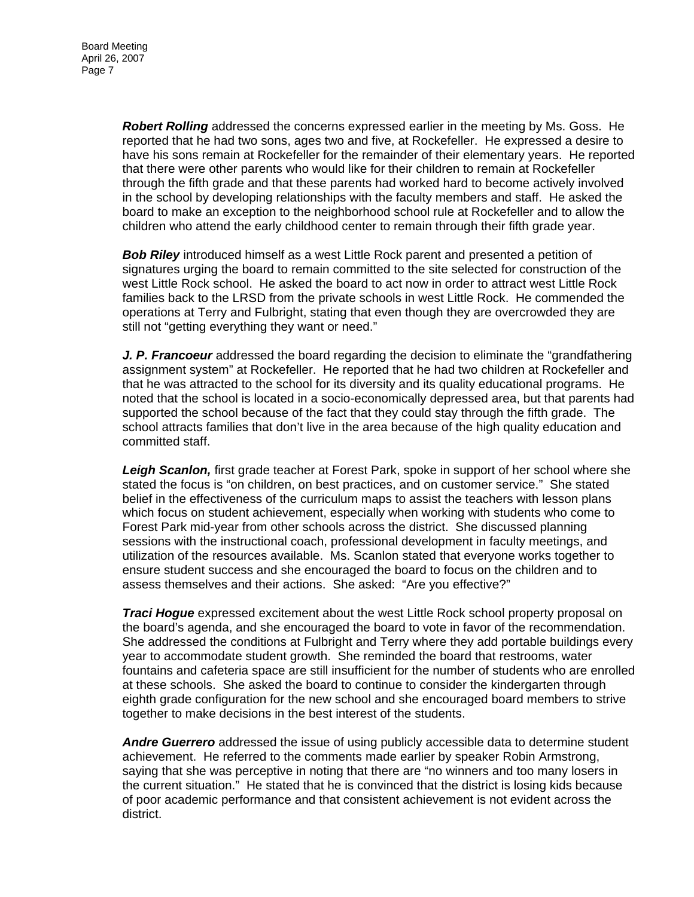*Robert Rolling* addressed the concerns expressed earlier in the meeting by Ms. Goss. He reported that he had two sons, ages two and five, at Rockefeller. He expressed a desire to have his sons remain at Rockefeller for the remainder of their elementary years. He reported that there were other parents who would like for their children to remain at Rockefeller through the fifth grade and that these parents had worked hard to become actively involved in the school by developing relationships with the faculty members and staff. He asked the board to make an exception to the neighborhood school rule at Rockefeller and to allow the children who attend the early childhood center to remain through their fifth grade year.

*Bob Riley* introduced himself as a west Little Rock parent and presented a petition of signatures urging the board to remain committed to the site selected for construction of the west Little Rock school. He asked the board to act now in order to attract west Little Rock families back to the LRSD from the private schools in west Little Rock. He commended the operations at Terry and Fulbright, stating that even though they are overcrowded they are still not "getting everything they want or need."

*J. P. Francoeur* addressed the board regarding the decision to eliminate the "grandfathering assignment system" at Rockefeller. He reported that he had two children at Rockefeller and that he was attracted to the school for its diversity and its quality educational programs. He noted that the school is located in a socio-economically depressed area, but that parents had supported the school because of the fact that they could stay through the fifth grade. The school attracts families that don't live in the area because of the high quality education and committed staff.

*Leigh Scanlon,* first grade teacher at Forest Park, spoke in support of her school where she stated the focus is "on children, on best practices, and on customer service." She stated belief in the effectiveness of the curriculum maps to assist the teachers with lesson plans which focus on student achievement, especially when working with students who come to Forest Park mid-year from other schools across the district. She discussed planning sessions with the instructional coach, professional development in faculty meetings, and utilization of the resources available. Ms. Scanlon stated that everyone works together to ensure student success and she encouraged the board to focus on the children and to assess themselves and their actions. She asked: "Are you effective?"

*Traci Hogue* expressed excitement about the west Little Rock school property proposal on the board's agenda, and she encouraged the board to vote in favor of the recommendation. She addressed the conditions at Fulbright and Terry where they add portable buildings every year to accommodate student growth. She reminded the board that restrooms, water fountains and cafeteria space are still insufficient for the number of students who are enrolled at these schools. She asked the board to continue to consider the kindergarten through eighth grade configuration for the new school and she encouraged board members to strive together to make decisions in the best interest of the students.

*Andre Guerrero* addressed the issue of using publicly accessible data to determine student achievement. He referred to the comments made earlier by speaker Robin Armstrong, saying that she was perceptive in noting that there are "no winners and too many losers in the current situation." He stated that he is convinced that the district is losing kids because of poor academic performance and that consistent achievement is not evident across the district.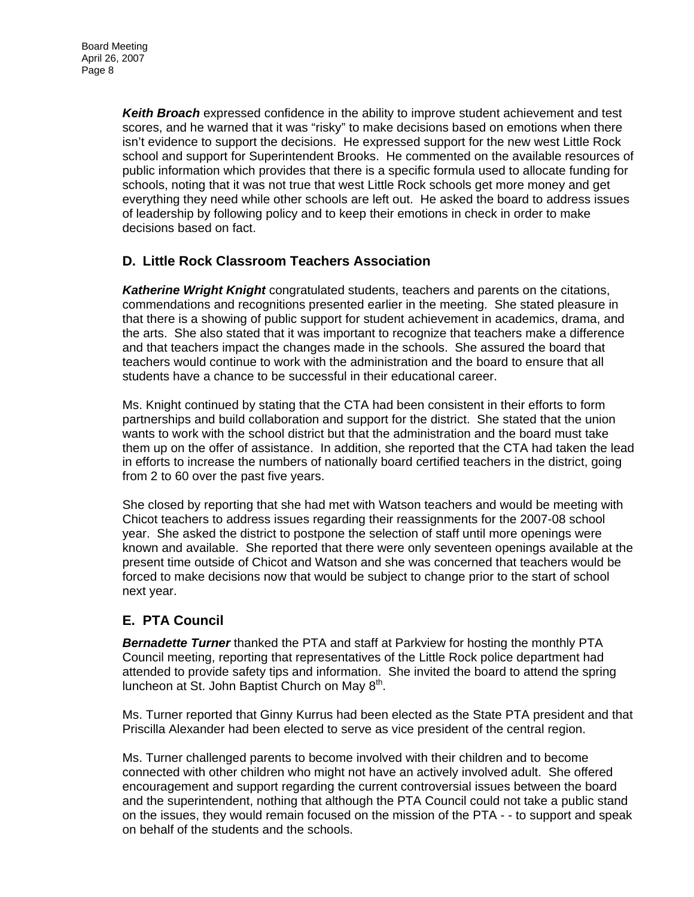*Keith Broach* expressed confidence in the ability to improve student achievement and test scores, and he warned that it was "risky" to make decisions based on emotions when there isn't evidence to support the decisions. He expressed support for the new west Little Rock school and support for Superintendent Brooks. He commented on the available resources of public information which provides that there is a specific formula used to allocate funding for schools, noting that it was not true that west Little Rock schools get more money and get everything they need while other schools are left out. He asked the board to address issues of leadership by following policy and to keep their emotions in check in order to make decisions based on fact.

## **D. Little Rock Classroom Teachers Association**

*Katherine Wright Knight* congratulated students, teachers and parents on the citations, commendations and recognitions presented earlier in the meeting. She stated pleasure in that there is a showing of public support for student achievement in academics, drama, and the arts. She also stated that it was important to recognize that teachers make a difference and that teachers impact the changes made in the schools. She assured the board that teachers would continue to work with the administration and the board to ensure that all students have a chance to be successful in their educational career.

Ms. Knight continued by stating that the CTA had been consistent in their efforts to form partnerships and build collaboration and support for the district. She stated that the union wants to work with the school district but that the administration and the board must take them up on the offer of assistance. In addition, she reported that the CTA had taken the lead in efforts to increase the numbers of nationally board certified teachers in the district, going from 2 to 60 over the past five years.

She closed by reporting that she had met with Watson teachers and would be meeting with Chicot teachers to address issues regarding their reassignments for the 2007-08 school year. She asked the district to postpone the selection of staff until more openings were known and available. She reported that there were only seventeen openings available at the present time outside of Chicot and Watson and she was concerned that teachers would be forced to make decisions now that would be subject to change prior to the start of school next year.

## **E. PTA Council**

*Bernadette Turner* thanked the PTA and staff at Parkview for hosting the monthly PTA Council meeting, reporting that representatives of the Little Rock police department had attended to provide safety tips and information. She invited the board to attend the spring luncheon at St. John Baptist Church on May  $8<sup>th</sup>$ .

Ms. Turner reported that Ginny Kurrus had been elected as the State PTA president and that Priscilla Alexander had been elected to serve as vice president of the central region.

Ms. Turner challenged parents to become involved with their children and to become connected with other children who might not have an actively involved adult. She offered encouragement and support regarding the current controversial issues between the board and the superintendent, nothing that although the PTA Council could not take a public stand on the issues, they would remain focused on the mission of the PTA - - to support and speak on behalf of the students and the schools.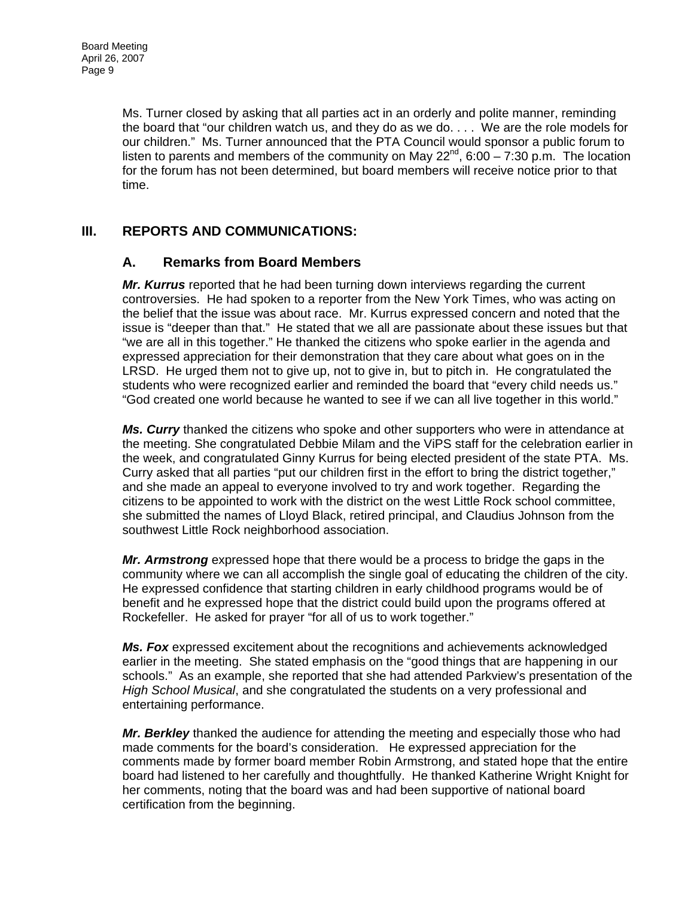Ms. Turner closed by asking that all parties act in an orderly and polite manner, reminding the board that "our children watch us, and they do as we do. . . . We are the role models for our children." Ms. Turner announced that the PTA Council would sponsor a public forum to listen to parents and members of the community on May  $22^{nd}$ , 6:00 – 7:30 p.m. The location for the forum has not been determined, but board members will receive notice prior to that time.

### **III. REPORTS AND COMMUNICATIONS:**

### **A. Remarks from Board Members**

*Mr. Kurrus* reported that he had been turning down interviews regarding the current controversies. He had spoken to a reporter from the New York Times, who was acting on the belief that the issue was about race. Mr. Kurrus expressed concern and noted that the issue is "deeper than that." He stated that we all are passionate about these issues but that "we are all in this together." He thanked the citizens who spoke earlier in the agenda and expressed appreciation for their demonstration that they care about what goes on in the LRSD. He urged them not to give up, not to give in, but to pitch in. He congratulated the students who were recognized earlier and reminded the board that "every child needs us." "God created one world because he wanted to see if we can all live together in this world."

*Ms. Curry* thanked the citizens who spoke and other supporters who were in attendance at the meeting. She congratulated Debbie Milam and the ViPS staff for the celebration earlier in the week, and congratulated Ginny Kurrus for being elected president of the state PTA. Ms. Curry asked that all parties "put our children first in the effort to bring the district together," and she made an appeal to everyone involved to try and work together. Regarding the citizens to be appointed to work with the district on the west Little Rock school committee, she submitted the names of Lloyd Black, retired principal, and Claudius Johnson from the southwest Little Rock neighborhood association.

*Mr. Armstrong* expressed hope that there would be a process to bridge the gaps in the community where we can all accomplish the single goal of educating the children of the city. He expressed confidence that starting children in early childhood programs would be of benefit and he expressed hope that the district could build upon the programs offered at Rockefeller. He asked for prayer "for all of us to work together."

*Ms. Fox* expressed excitement about the recognitions and achievements acknowledged earlier in the meeting. She stated emphasis on the "good things that are happening in our schools." As an example, she reported that she had attended Parkview's presentation of the *High School Musical*, and she congratulated the students on a very professional and entertaining performance.

*Mr. Berkley* thanked the audience for attending the meeting and especially those who had made comments for the board's consideration. He expressed appreciation for the comments made by former board member Robin Armstrong, and stated hope that the entire board had listened to her carefully and thoughtfully. He thanked Katherine Wright Knight for her comments, noting that the board was and had been supportive of national board certification from the beginning.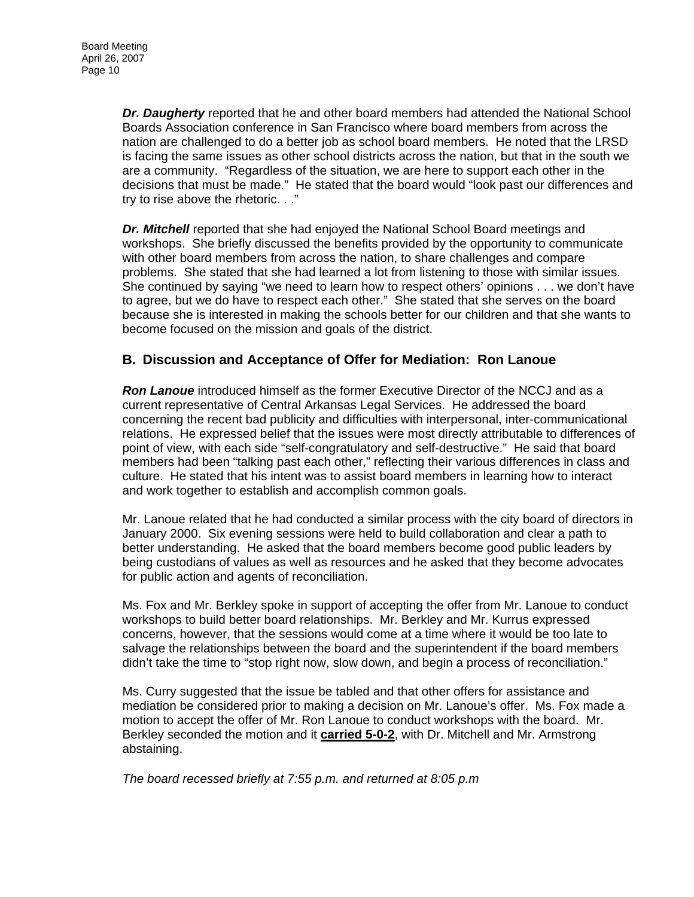*Dr. Daugherty* reported that he and other board members had attended the National School Boards Association conference in San Francisco where board members from across the nation are challenged to do a better job as school board members. He noted that the LRSD is facing the same issues as other school districts across the nation, but that in the south we are a community. "Regardless of the situation, we are here to support each other in the decisions that must be made." He stated that the board would "look past our differences and try to rise above the rhetoric. . ."

*Dr. Mitchell* reported that she had enjoyed the National School Board meetings and workshops. She briefly discussed the benefits provided by the opportunity to communicate with other board members from across the nation, to share challenges and compare problems. She stated that she had learned a lot from listening to those with similar issues. She continued by saying "we need to learn how to respect others' opinions . . . we don't have to agree, but we do have to respect each other." She stated that she serves on the board because she is interested in making the schools better for our children and that she wants to become focused on the mission and goals of the district.

### **B. Discussion and Acceptance of Offer for Mediation: Ron Lanoue**

*Ron Lanoue* introduced himself as the former Executive Director of the NCCJ and as a current representative of Central Arkansas Legal Services. He addressed the board concerning the recent bad publicity and difficulties with interpersonal, inter-communicational relations. He expressed belief that the issues were most directly attributable to differences of point of view, with each side "self-congratulatory and self-destructive." He said that board members had been "talking past each other," reflecting their various differences in class and culture. He stated that his intent was to assist board members in learning how to interact and work together to establish and accomplish common goals.

Mr. Lanoue related that he had conducted a similar process with the city board of directors in January 2000. Six evening sessions were held to build collaboration and clear a path to better understanding. He asked that the board members become good public leaders by being custodians of values as well as resources and he asked that they become advocates for public action and agents of reconciliation.

Ms. Fox and Mr. Berkley spoke in support of accepting the offer from Mr. Lanoue to conduct workshops to build better board relationships. Mr. Berkley and Mr. Kurrus expressed concerns, however, that the sessions would come at a time where it would be too late to salvage the relationships between the board and the superintendent if the board members didn't take the time to "stop right now, slow down, and begin a process of reconciliation."

Ms. Curry suggested that the issue be tabled and that other offers for assistance and mediation be considered prior to making a decision on Mr. Lanoue's offer. Ms. Fox made a motion to accept the offer of Mr. Ron Lanoue to conduct workshops with the board. Mr. Berkley seconded the motion and it **carried 5-0-2**, with Dr. Mitchell and Mr. Armstrong abstaining.

*The board recessed briefly at 7:55 p.m. and returned at 8:05 p.m*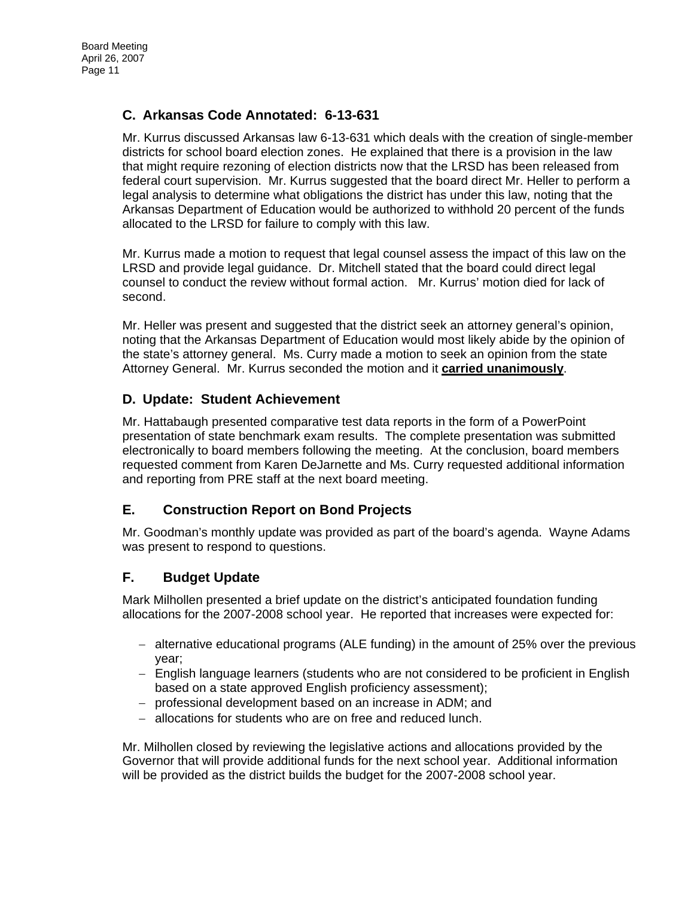## **C. Arkansas Code Annotated: 6-13-631**

Mr. Kurrus discussed Arkansas law 6-13-631 which deals with the creation of single-member districts for school board election zones. He explained that there is a provision in the law that might require rezoning of election districts now that the LRSD has been released from federal court supervision. Mr. Kurrus suggested that the board direct Mr. Heller to perform a legal analysis to determine what obligations the district has under this law, noting that the Arkansas Department of Education would be authorized to withhold 20 percent of the funds allocated to the LRSD for failure to comply with this law.

Mr. Kurrus made a motion to request that legal counsel assess the impact of this law on the LRSD and provide legal guidance. Dr. Mitchell stated that the board could direct legal counsel to conduct the review without formal action. Mr. Kurrus' motion died for lack of second.

Mr. Heller was present and suggested that the district seek an attorney general's opinion, noting that the Arkansas Department of Education would most likely abide by the opinion of the state's attorney general. Ms. Curry made a motion to seek an opinion from the state Attorney General. Mr. Kurrus seconded the motion and it **carried unanimously**.

## **D. Update: Student Achievement**

Mr. Hattabaugh presented comparative test data reports in the form of a PowerPoint presentation of state benchmark exam results. The complete presentation was submitted electronically to board members following the meeting. At the conclusion, board members requested comment from Karen DeJarnette and Ms. Curry requested additional information and reporting from PRE staff at the next board meeting.

## **E. Construction Report on Bond Projects**

Mr. Goodman's monthly update was provided as part of the board's agenda. Wayne Adams was present to respond to questions.

## **F. Budget Update**

Mark Milhollen presented a brief update on the district's anticipated foundation funding allocations for the 2007-2008 school year. He reported that increases were expected for:

- − alternative educational programs (ALE funding) in the amount of 25% over the previous year;
- − English language learners (students who are not considered to be proficient in English based on a state approved English proficiency assessment);
- − professional development based on an increase in ADM; and
- − allocations for students who are on free and reduced lunch.

Mr. Milhollen closed by reviewing the legislative actions and allocations provided by the Governor that will provide additional funds for the next school year. Additional information will be provided as the district builds the budget for the 2007-2008 school year.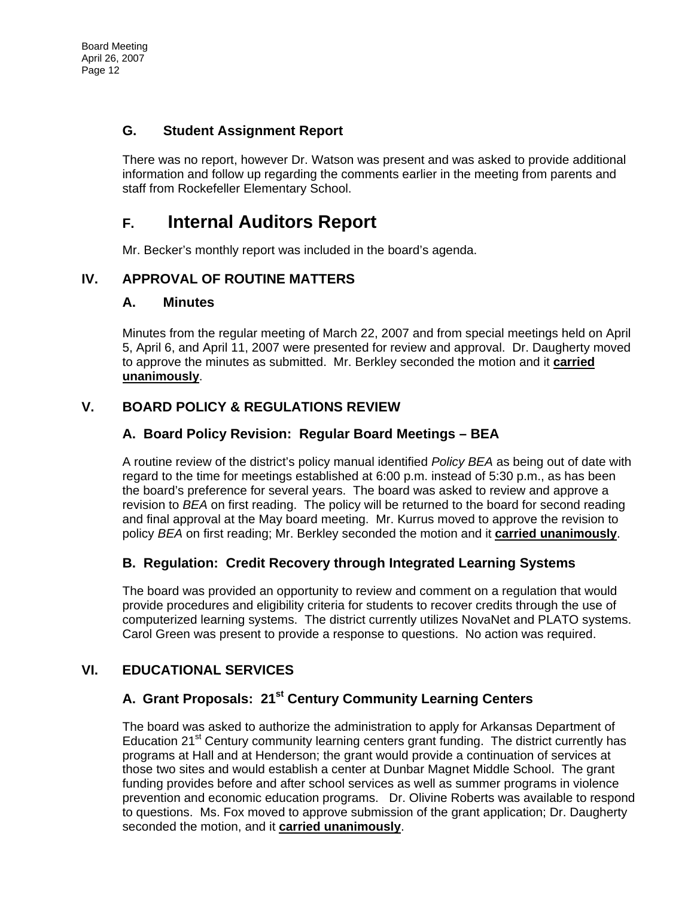## **G. Student Assignment Report**

There was no report, however Dr. Watson was present and was asked to provide additional information and follow up regarding the comments earlier in the meeting from parents and staff from Rockefeller Elementary School.

# **F. Internal Auditors Report**

Mr. Becker's monthly report was included in the board's agenda.

## **IV. APPROVAL OF ROUTINE MATTERS**

### **A. Minutes**

Minutes from the regular meeting of March 22, 2007 and from special meetings held on April 5, April 6, and April 11, 2007 were presented for review and approval. Dr. Daugherty moved to approve the minutes as submitted. Mr. Berkley seconded the motion and it **carried unanimously**.

## **V. BOARD POLICY & REGULATIONS REVIEW**

## **A. Board Policy Revision: Regular Board Meetings – BEA**

A routine review of the district's policy manual identified *Policy BEA* as being out of date with regard to the time for meetings established at 6:00 p.m. instead of 5:30 p.m., as has been the board's preference for several years. The board was asked to review and approve a revision to *BEA* on first reading. The policy will be returned to the board for second reading and final approval at the May board meeting. Mr. Kurrus moved to approve the revision to policy *BEA* on first reading; Mr. Berkley seconded the motion and it **carried unanimously**.

## **B. Regulation: Credit Recovery through Integrated Learning Systems**

The board was provided an opportunity to review and comment on a regulation that would provide procedures and eligibility criteria for students to recover credits through the use of computerized learning systems. The district currently utilizes NovaNet and PLATO systems. Carol Green was present to provide a response to questions. No action was required.

## **VI. EDUCATIONAL SERVICES**

## **A. Grant Proposals: 21st Century Community Learning Centers**

The board was asked to authorize the administration to apply for Arkansas Department of Education 21<sup>st</sup> Century community learning centers grant funding. The district currently has programs at Hall and at Henderson; the grant would provide a continuation of services at those two sites and would establish a center at Dunbar Magnet Middle School. The grant funding provides before and after school services as well as summer programs in violence prevention and economic education programs. Dr. Olivine Roberts was available to respond to questions. Ms. Fox moved to approve submission of the grant application; Dr. Daugherty seconded the motion, and it **carried unanimously**.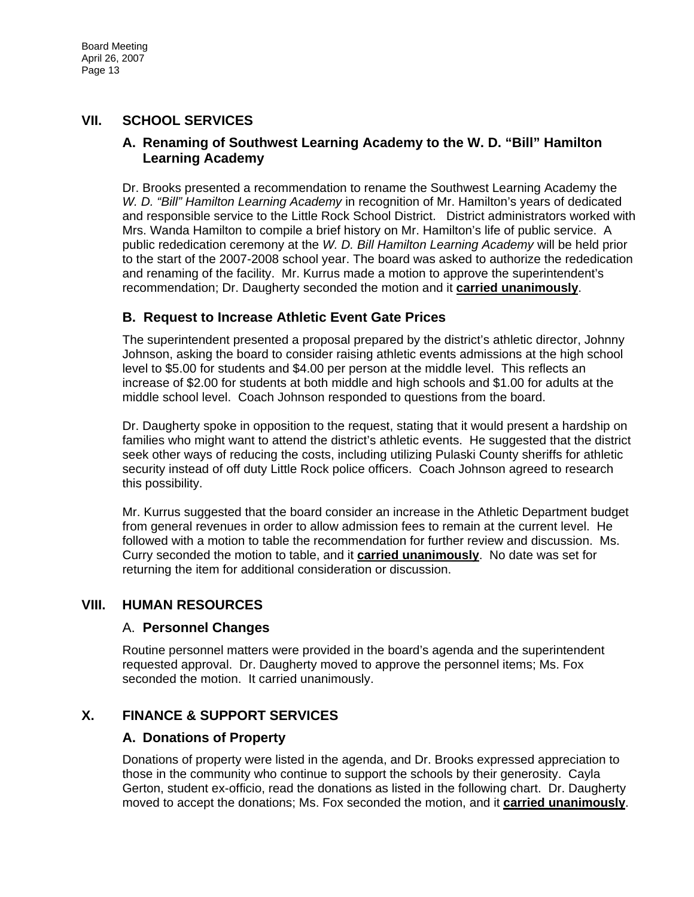## **VII. SCHOOL SERVICES**

### **A. Renaming of Southwest Learning Academy to the W. D. "Bill" Hamilton Learning Academy**

Dr. Brooks presented a recommendation to rename the Southwest Learning Academy the *W. D. "Bill" Hamilton Learning Academy* in recognition of Mr. Hamilton's years of dedicated and responsible service to the Little Rock School District. District administrators worked with Mrs. Wanda Hamilton to compile a brief history on Mr. Hamilton's life of public service. A public rededication ceremony at the *W. D. Bill Hamilton Learning Academy* will be held prior to the start of the 2007-2008 school year. The board was asked to authorize the rededication and renaming of the facility. Mr. Kurrus made a motion to approve the superintendent's recommendation; Dr. Daugherty seconded the motion and it **carried unanimously**.

### **B. Request to Increase Athletic Event Gate Prices**

The superintendent presented a proposal prepared by the district's athletic director, Johnny Johnson, asking the board to consider raising athletic events admissions at the high school level to \$5.00 for students and \$4.00 per person at the middle level. This reflects an increase of \$2.00 for students at both middle and high schools and \$1.00 for adults at the middle school level. Coach Johnson responded to questions from the board.

Dr. Daugherty spoke in opposition to the request, stating that it would present a hardship on families who might want to attend the district's athletic events. He suggested that the district seek other ways of reducing the costs, including utilizing Pulaski County sheriffs for athletic security instead of off duty Little Rock police officers. Coach Johnson agreed to research this possibility.

Mr. Kurrus suggested that the board consider an increase in the Athletic Department budget from general revenues in order to allow admission fees to remain at the current level. He followed with a motion to table the recommendation for further review and discussion. Ms. Curry seconded the motion to table, and it **carried unanimously**. No date was set for returning the item for additional consideration or discussion.

### **VIII. HUMAN RESOURCES**

#### A. **Personnel Changes**

Routine personnel matters were provided in the board's agenda and the superintendent requested approval. Dr. Daugherty moved to approve the personnel items; Ms. Fox seconded the motion. It carried unanimously.

## **X. FINANCE & SUPPORT SERVICES**

### **A. Donations of Property**

Donations of property were listed in the agenda, and Dr. Brooks expressed appreciation to those in the community who continue to support the schools by their generosity. Cayla Gerton, student ex-officio, read the donations as listed in the following chart. Dr. Daugherty moved to accept the donations; Ms. Fox seconded the motion, and it **carried unanimously**.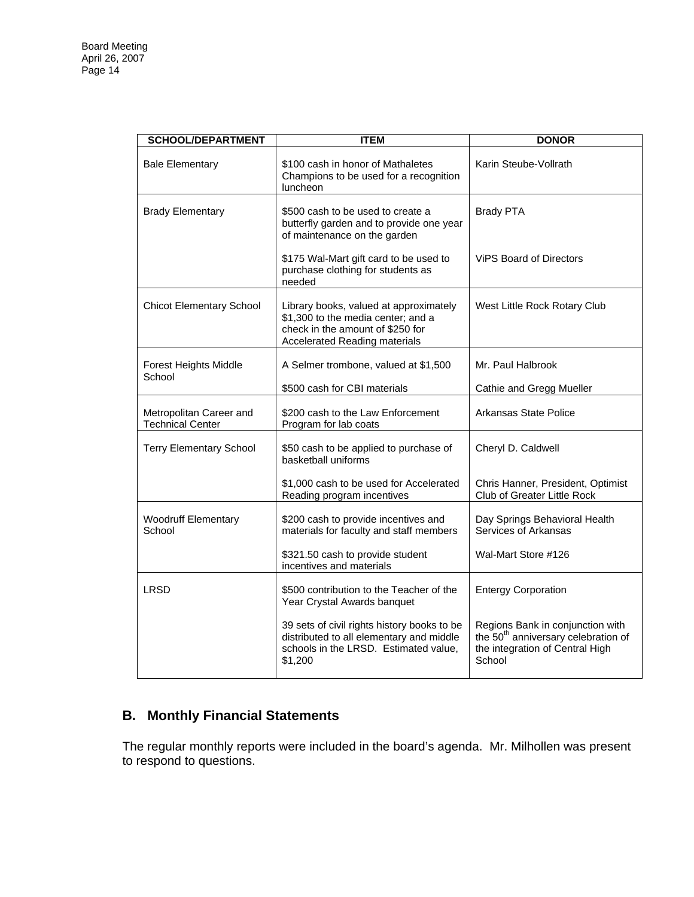| <b>SCHOOL/DEPARTMENT</b>                           | <b>ITEM</b>                                                                                                                                              | <b>DONOR</b>                                                                                                                     |
|----------------------------------------------------|----------------------------------------------------------------------------------------------------------------------------------------------------------|----------------------------------------------------------------------------------------------------------------------------------|
| <b>Bale Elementary</b>                             | \$100 cash in honor of Mathaletes<br>Champions to be used for a recognition<br>luncheon                                                                  | Karin Steube-Vollrath                                                                                                            |
| <b>Brady Elementary</b>                            | \$500 cash to be used to create a<br>butterfly garden and to provide one year<br>of maintenance on the garden                                            | <b>Brady PTA</b>                                                                                                                 |
|                                                    | \$175 Wal-Mart gift card to be used to<br>purchase clothing for students as<br>needed                                                                    | <b>ViPS Board of Directors</b>                                                                                                   |
| <b>Chicot Elementary School</b>                    | Library books, valued at approximately<br>\$1,300 to the media center; and a<br>check in the amount of \$250 for<br><b>Accelerated Reading materials</b> | West Little Rock Rotary Club                                                                                                     |
| <b>Forest Heights Middle</b><br>School             | A Selmer trombone, valued at \$1,500                                                                                                                     | Mr. Paul Halbrook                                                                                                                |
|                                                    | \$500 cash for CBI materials                                                                                                                             | Cathie and Gregg Mueller                                                                                                         |
| Metropolitan Career and<br><b>Technical Center</b> | \$200 cash to the Law Enforcement<br>Program for lab coats                                                                                               | Arkansas State Police                                                                                                            |
| <b>Terry Elementary School</b>                     | \$50 cash to be applied to purchase of<br>basketball uniforms                                                                                            | Cheryl D. Caldwell                                                                                                               |
|                                                    | \$1,000 cash to be used for Accelerated<br>Reading program incentives                                                                                    | Chris Hanner, President, Optimist<br>Club of Greater Little Rock                                                                 |
| <b>Woodruff Elementary</b><br>School               | \$200 cash to provide incentives and<br>materials for faculty and staff members                                                                          | Day Springs Behavioral Health<br>Services of Arkansas                                                                            |
|                                                    | \$321.50 cash to provide student<br>incentives and materials                                                                                             | Wal-Mart Store #126                                                                                                              |
| LRSD                                               | \$500 contribution to the Teacher of the<br>Year Crystal Awards banquet                                                                                  | <b>Entergy Corporation</b>                                                                                                       |
|                                                    | 39 sets of civil rights history books to be<br>distributed to all elementary and middle<br>schools in the LRSD. Estimated value,<br>\$1,200              | Regions Bank in conjunction with<br>the 50 <sup>th</sup> anniversary celebration of<br>the integration of Central High<br>School |

## **B. Monthly Financial Statements**

The regular monthly reports were included in the board's agenda. Mr. Milhollen was present to respond to questions.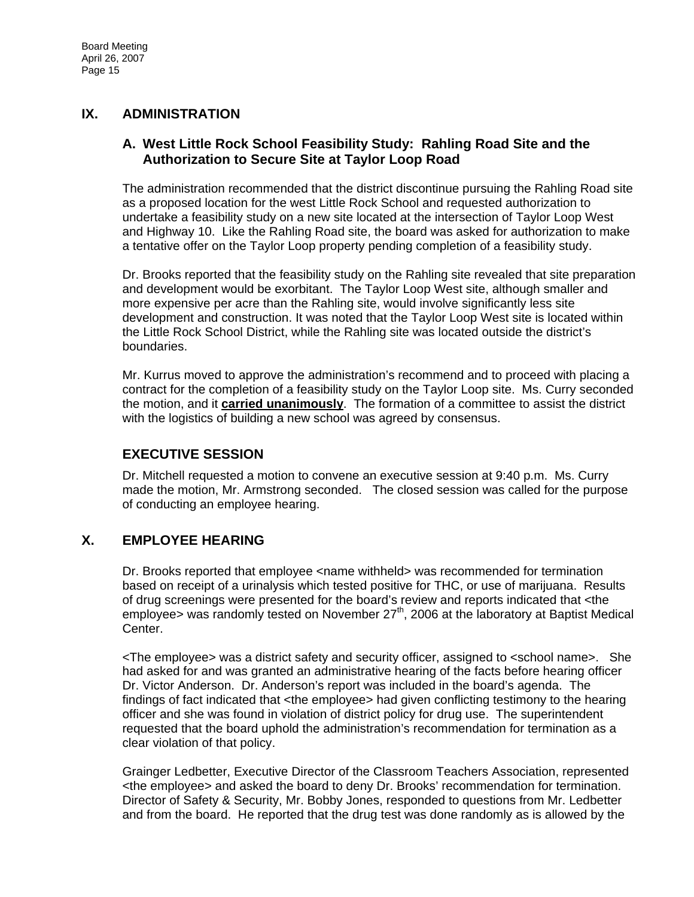## **IX. ADMINISTRATION**

#### **A. West Little Rock School Feasibility Study: Rahling Road Site and the Authorization to Secure Site at Taylor Loop Road**

The administration recommended that the district discontinue pursuing the Rahling Road site as a proposed location for the west Little Rock School and requested authorization to undertake a feasibility study on a new site located at the intersection of Taylor Loop West and Highway 10. Like the Rahling Road site, the board was asked for authorization to make a tentative offer on the Taylor Loop property pending completion of a feasibility study.

Dr. Brooks reported that the feasibility study on the Rahling site revealed that site preparation and development would be exorbitant. The Taylor Loop West site, although smaller and more expensive per acre than the Rahling site, would involve significantly less site development and construction. It was noted that the Taylor Loop West site is located within the Little Rock School District, while the Rahling site was located outside the district's boundaries.

Mr. Kurrus moved to approve the administration's recommend and to proceed with placing a contract for the completion of a feasibility study on the Taylor Loop site. Ms. Curry seconded the motion, and it **carried unanimously**. The formation of a committee to assist the district with the logistics of building a new school was agreed by consensus.

## **EXECUTIVE SESSION**

Dr. Mitchell requested a motion to convene an executive session at 9:40 p.m. Ms. Curry made the motion, Mr. Armstrong seconded. The closed session was called for the purpose of conducting an employee hearing.

## **X. EMPLOYEE HEARING**

Dr. Brooks reported that employee <name withheld> was recommended for termination based on receipt of a urinalysis which tested positive for THC, or use of marijuana. Results of drug screenings were presented for the board's review and reports indicated that <the employee> was randomly tested on November  $27<sup>th</sup>$ , 2006 at the laboratory at Baptist Medical Center.

<The employee> was a district safety and security officer, assigned to <school name>. She had asked for and was granted an administrative hearing of the facts before hearing officer Dr. Victor Anderson. Dr. Anderson's report was included in the board's agenda. The findings of fact indicated that <the employee> had given conflicting testimony to the hearing officer and she was found in violation of district policy for drug use. The superintendent requested that the board uphold the administration's recommendation for termination as a clear violation of that policy.

Grainger Ledbetter, Executive Director of the Classroom Teachers Association, represented <the employee> and asked the board to deny Dr. Brooks' recommendation for termination. Director of Safety & Security, Mr. Bobby Jones, responded to questions from Mr. Ledbetter and from the board. He reported that the drug test was done randomly as is allowed by the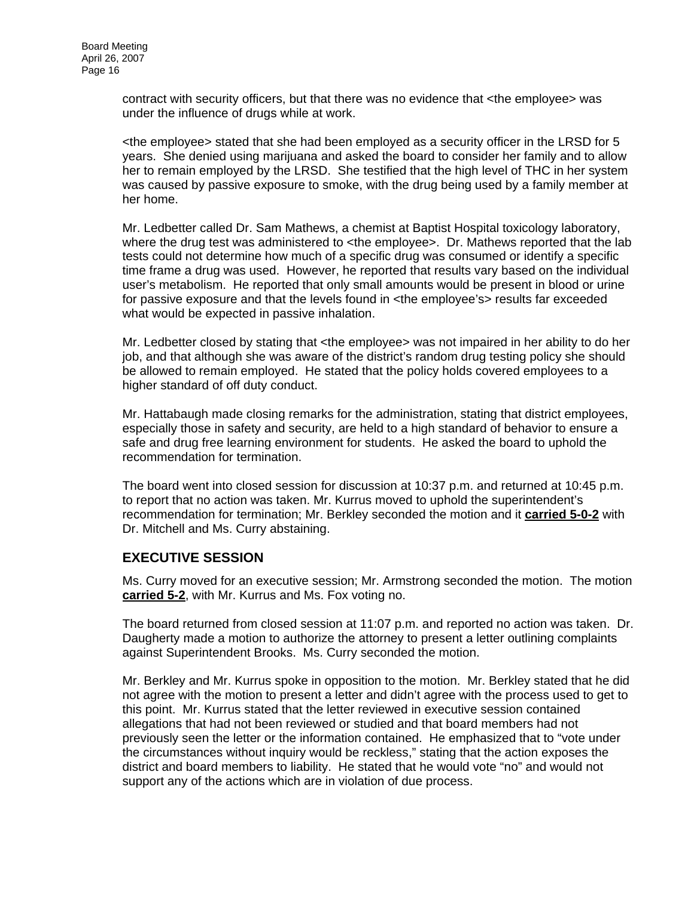contract with security officers, but that there was no evidence that <the employee> was under the influence of drugs while at work.

<the employee> stated that she had been employed as a security officer in the LRSD for 5 years. She denied using marijuana and asked the board to consider her family and to allow her to remain employed by the LRSD. She testified that the high level of THC in her system was caused by passive exposure to smoke, with the drug being used by a family member at her home.

Mr. Ledbetter called Dr. Sam Mathews, a chemist at Baptist Hospital toxicology laboratory, where the drug test was administered to <the employee>. Dr. Mathews reported that the lab tests could not determine how much of a specific drug was consumed or identify a specific time frame a drug was used. However, he reported that results vary based on the individual user's metabolism. He reported that only small amounts would be present in blood or urine for passive exposure and that the levels found in <the employee's> results far exceeded what would be expected in passive inhalation.

Mr. Ledbetter closed by stating that <the employee> was not impaired in her ability to do her job, and that although she was aware of the district's random drug testing policy she should be allowed to remain employed. He stated that the policy holds covered employees to a higher standard of off duty conduct.

Mr. Hattabaugh made closing remarks for the administration, stating that district employees, especially those in safety and security, are held to a high standard of behavior to ensure a safe and drug free learning environment for students. He asked the board to uphold the recommendation for termination.

The board went into closed session for discussion at 10:37 p.m. and returned at 10:45 p.m. to report that no action was taken. Mr. Kurrus moved to uphold the superintendent's recommendation for termination; Mr. Berkley seconded the motion and it **carried 5-0-2** with Dr. Mitchell and Ms. Curry abstaining.

### **EXECUTIVE SESSION**

Ms. Curry moved for an executive session; Mr. Armstrong seconded the motion. The motion **carried 5-2**, with Mr. Kurrus and Ms. Fox voting no.

The board returned from closed session at 11:07 p.m. and reported no action was taken. Dr. Daugherty made a motion to authorize the attorney to present a letter outlining complaints against Superintendent Brooks. Ms. Curry seconded the motion.

Mr. Berkley and Mr. Kurrus spoke in opposition to the motion. Mr. Berkley stated that he did not agree with the motion to present a letter and didn't agree with the process used to get to this point. Mr. Kurrus stated that the letter reviewed in executive session contained allegations that had not been reviewed or studied and that board members had not previously seen the letter or the information contained. He emphasized that to "vote under the circumstances without inquiry would be reckless," stating that the action exposes the district and board members to liability. He stated that he would vote "no" and would not support any of the actions which are in violation of due process.